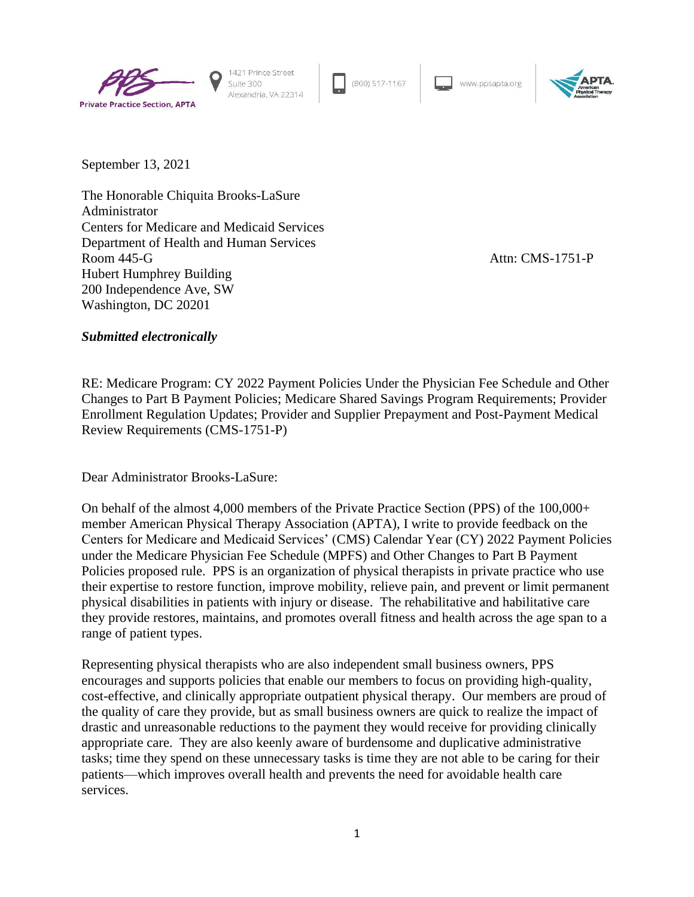

1421 Prince Street Suite 300 Alexandria, VA 22314

(800) 517-1167

www.ppsapta.org



September 13, 2021

The Honorable Chiquita Brooks-LaSure Administrator Centers for Medicare and Medicaid Services Department of Health and Human Services Room 445-G Attn: CMS-1751-P Hubert Humphrey Building 200 Independence Ave, SW Washington, DC 20201

### *Submitted electronically*

RE: Medicare Program: CY 2022 Payment Policies Under the Physician Fee Schedule and Other Changes to Part B Payment Policies; Medicare Shared Savings Program Requirements; Provider Enrollment Regulation Updates; Provider and Supplier Prepayment and Post-Payment Medical Review Requirements (CMS-1751-P)

Dear Administrator Brooks-LaSure:

On behalf of the almost 4,000 members of the Private Practice Section (PPS) of the 100,000+ member American Physical Therapy Association (APTA), I write to provide feedback on the Centers for Medicare and Medicaid Services' (CMS) Calendar Year (CY) 2022 Payment Policies under the Medicare Physician Fee Schedule (MPFS) and Other Changes to Part B Payment Policies proposed rule. PPS is an organization of physical therapists in private practice who use their expertise to restore function, improve mobility, relieve pain, and prevent or limit permanent physical disabilities in patients with injury or disease. The rehabilitative and habilitative care they provide restores, maintains, and promotes overall fitness and health across the age span to a range of patient types.

Representing physical therapists who are also independent small business owners, PPS encourages and supports policies that enable our members to focus on providing high-quality, cost-effective, and clinically appropriate outpatient physical therapy. Our members are proud of the quality of care they provide, but as small business owners are quick to realize the impact of drastic and unreasonable reductions to the payment they would receive for providing clinically appropriate care. They are also keenly aware of burdensome and duplicative administrative tasks; time they spend on these unnecessary tasks is time they are not able to be caring for their patients—which improves overall health and prevents the need for avoidable health care services.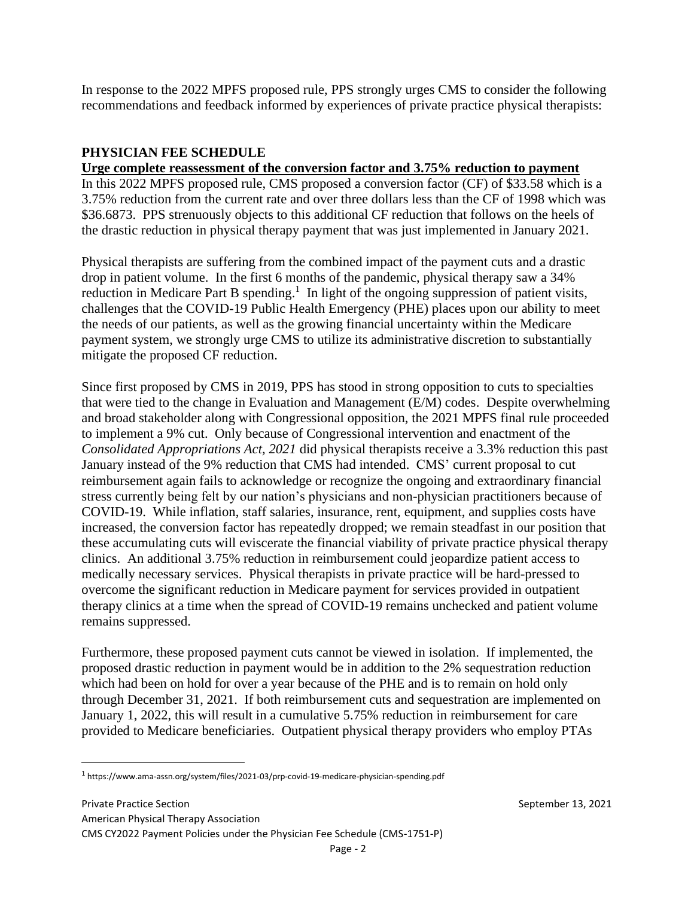In response to the 2022 MPFS proposed rule, PPS strongly urges CMS to consider the following recommendations and feedback informed by experiences of private practice physical therapists:

# **PHYSICIAN FEE SCHEDULE**

**Urge complete reassessment of the conversion factor and 3.75% reduction to payment** 

In this 2022 MPFS proposed rule, CMS proposed a conversion factor (CF) of \$33.58 which is a 3.75% reduction from the current rate and over three dollars less than the CF of 1998 which was \$36.6873. PPS strenuously objects to this additional CF reduction that follows on the heels of the drastic reduction in physical therapy payment that was just implemented in January 2021.

Physical therapists are suffering from the combined impact of the payment cuts and a drastic drop in patient volume. In the first 6 months of the pandemic, physical therapy saw a 34% reduction in Medicare Part B spending.<sup>1</sup> In light of the ongoing suppression of patient visits, challenges that the COVID-19 Public Health Emergency (PHE) places upon our ability to meet the needs of our patients, as well as the growing financial uncertainty within the Medicare payment system, we strongly urge CMS to utilize its administrative discretion to substantially mitigate the proposed CF reduction.

Since first proposed by CMS in 2019, PPS has stood in strong opposition to cuts to specialties that were tied to the change in Evaluation and Management (E/M) codes. Despite overwhelming and broad stakeholder along with Congressional opposition, the 2021 MPFS final rule proceeded to implement a 9% cut. Only because of Congressional intervention and enactment of the *Consolidated Appropriations Act, 2021* did physical therapists receive a 3.3% reduction this past January instead of the 9% reduction that CMS had intended. CMS' current proposal to cut reimbursement again fails to acknowledge or recognize the ongoing and extraordinary financial stress currently being felt by our nation's physicians and non-physician practitioners because of COVID-19. While inflation, staff salaries, insurance, rent, equipment, and supplies costs have increased, the conversion factor has repeatedly dropped; we remain steadfast in our position that these accumulating cuts will eviscerate the financial viability of private practice physical therapy clinics. An additional 3.75% reduction in reimbursement could jeopardize patient access to medically necessary services. Physical therapists in private practice will be hard-pressed to overcome the significant reduction in Medicare payment for services provided in outpatient therapy clinics at a time when the spread of COVID-19 remains unchecked and patient volume remains suppressed.

Furthermore, these proposed payment cuts cannot be viewed in isolation. If implemented, the proposed drastic reduction in payment would be in addition to the 2% sequestration reduction which had been on hold for over a year because of the PHE and is to remain on hold only through December 31, 2021. If both reimbursement cuts and sequestration are implemented on January 1, 2022, this will result in a cumulative 5.75% reduction in reimbursement for care provided to Medicare beneficiaries. Outpatient physical therapy providers who employ PTAs

<sup>&</sup>lt;sup>1</sup> https://www.ama-assn.org/system/files/2021-03/prp-covid-19-medicare-physician-spending.pdf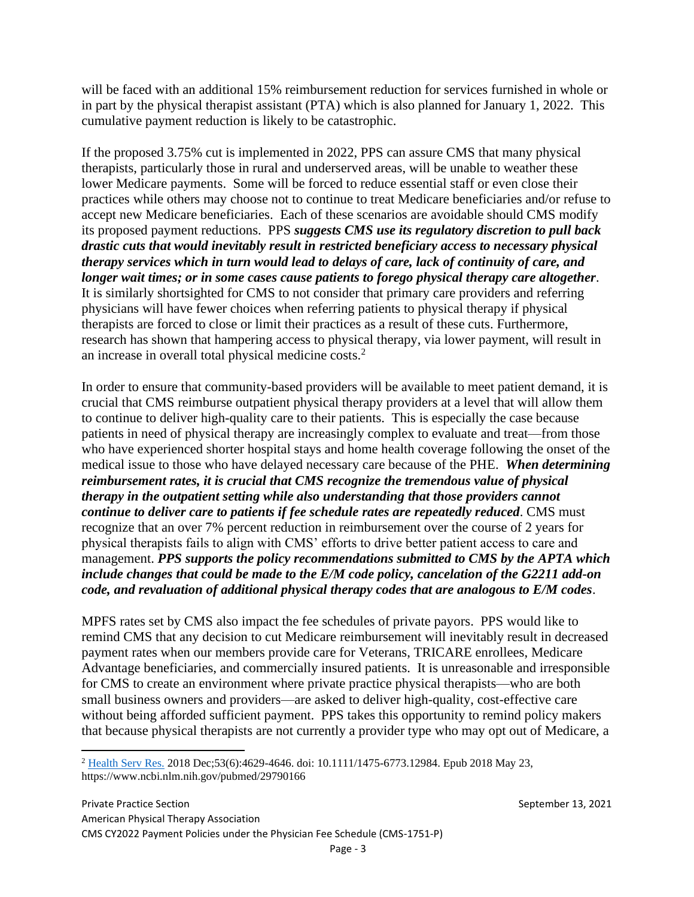will be faced with an additional 15% reimbursement reduction for services furnished in whole or in part by the physical therapist assistant (PTA) which is also planned for January 1, 2022. This cumulative payment reduction is likely to be catastrophic.

If the proposed 3.75% cut is implemented in 2022, PPS can assure CMS that many physical therapists, particularly those in rural and underserved areas, will be unable to weather these lower Medicare payments. Some will be forced to reduce essential staff or even close their practices while others may choose not to continue to treat Medicare beneficiaries and/or refuse to accept new Medicare beneficiaries. Each of these scenarios are avoidable should CMS modify its proposed payment reductions. PPS *suggests CMS use its regulatory discretion to pull back drastic cuts that would inevitably result in restricted beneficiary access to necessary physical therapy services which in turn would lead to delays of care, lack of continuity of care, and longer wait times; or in some cases cause patients to forego physical therapy care altogether*. It is similarly shortsighted for CMS to not consider that primary care providers and referring physicians will have fewer choices when referring patients to physical therapy if physical therapists are forced to close or limit their practices as a result of these cuts. Furthermore, research has shown that hampering access to physical therapy, via lower payment, will result in an increase in overall total physical medicine costs.<sup>2</sup>

In order to ensure that community-based providers will be available to meet patient demand, it is crucial that CMS reimburse outpatient physical therapy providers at a level that will allow them to continue to deliver high-quality care to their patients. This is especially the case because patients in need of physical therapy are increasingly complex to evaluate and treat—from those who have experienced shorter hospital stays and home health coverage following the onset of the medical issue to those who have delayed necessary care because of the PHE. *When determining reimbursement rates, it is crucial that CMS recognize the tremendous value of physical therapy in the outpatient setting while also understanding that those providers cannot continue to deliver care to patients if fee schedule rates are repeatedly reduced*. CMS must recognize that an over 7% percent reduction in reimbursement over the course of 2 years for physical therapists fails to align with CMS' efforts to drive better patient access to care and management. *PPS supports the policy recommendations submitted to CMS by the APTA which include changes that could be made to the E/M code policy, cancelation of the G2211 add-on code, and revaluation of additional physical therapy codes that are analogous to E/M codes*.

MPFS rates set by CMS also impact the fee schedules of private payors. PPS would like to remind CMS that any decision to cut Medicare reimbursement will inevitably result in decreased payment rates when our members provide care for Veterans, TRICARE enrollees, Medicare Advantage beneficiaries, and commercially insured patients. It is unreasonable and irresponsible for CMS to create an environment where private practice physical therapists—who are both small business owners and providers—are asked to deliver high-quality, cost-effective care without being afforded sufficient payment. PPS takes this opportunity to remind policy makers that because physical therapists are not currently a provider type who may opt out of Medicare, a

<sup>2</sup> [Health Serv Res.](https://www.ncbi.nlm.nih.gov/pubmed/29790166) 2018 Dec;53(6):4629-4646. doi: 10.1111/1475-6773.12984. Epub 2018 May 23, https://www.ncbi.nlm.nih.gov/pubmed/29790166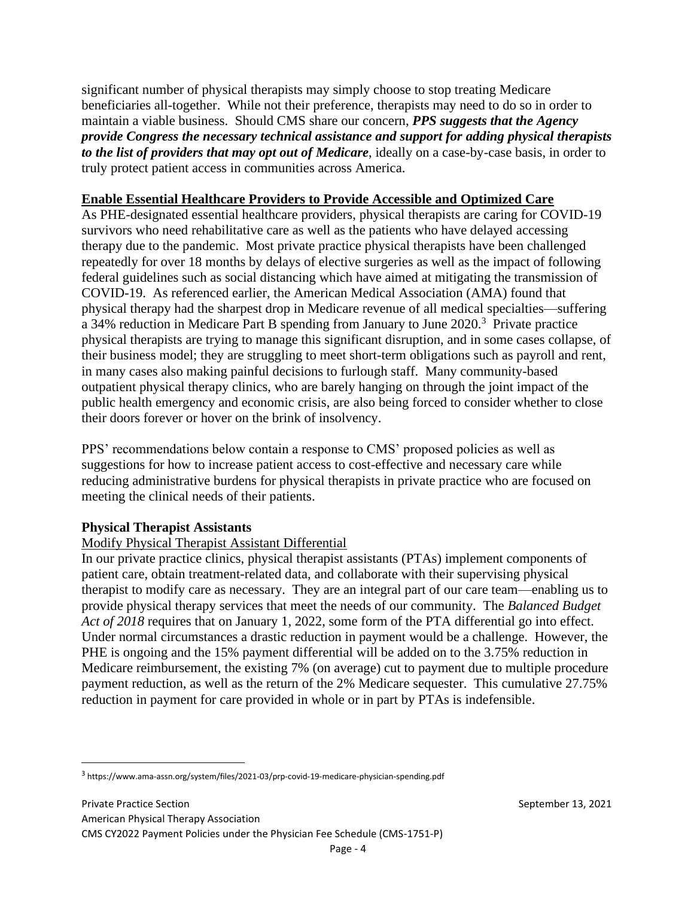significant number of physical therapists may simply choose to stop treating Medicare beneficiaries all-together. While not their preference, therapists may need to do so in order to maintain a viable business. Should CMS share our concern, *PPS suggests that the Agency provide Congress the necessary technical assistance and support for adding physical therapists to the list of providers that may opt out of Medicare*, ideally on a case-by-case basis, in order to truly protect patient access in communities across America.

# **Enable Essential Healthcare Providers to Provide Accessible and Optimized Care**

As PHE-designated essential healthcare providers, physical therapists are caring for COVID-19 survivors who need rehabilitative care as well as the patients who have delayed accessing therapy due to the pandemic. Most private practice physical therapists have been challenged repeatedly for over 18 months by delays of elective surgeries as well as the impact of following federal guidelines such as social distancing which have aimed at mitigating the transmission of COVID-19. As referenced earlier, the American Medical Association (AMA) found that physical therapy had the sharpest drop in Medicare revenue of all medical specialties—suffering a 34% reduction in Medicare Part B spending from January to June 2020.<sup>3</sup> Private practice physical therapists are trying to manage this significant disruption, and in some cases collapse, of their business model; they are struggling to meet short-term obligations such as payroll and rent, in many cases also making painful decisions to furlough staff. Many community-based outpatient physical therapy clinics, who are barely hanging on through the joint impact of the public health emergency and economic crisis, are also being forced to consider whether to close their doors forever or hover on the brink of insolvency.

PPS' recommendations below contain a response to CMS' proposed policies as well as suggestions for how to increase patient access to cost-effective and necessary care while reducing administrative burdens for physical therapists in private practice who are focused on meeting the clinical needs of their patients.

# **Physical Therapist Assistants**

# Modify Physical Therapist Assistant Differential

In our private practice clinics, physical therapist assistants (PTAs) implement components of patient care, obtain treatment-related data, and collaborate with their supervising physical therapist to modify care as necessary. They are an integral part of our care team—enabling us to provide physical therapy services that meet the needs of our community. The *Balanced Budget Act of 2018* requires that on January 1, 2022, some form of the PTA differential go into effect. Under normal circumstances a drastic reduction in payment would be a challenge. However, the PHE is ongoing and the 15% payment differential will be added on to the 3.75% reduction in Medicare reimbursement, the existing 7% (on average) cut to payment due to multiple procedure payment reduction, as well as the return of the 2% Medicare sequester. This cumulative 27.75% reduction in payment for care provided in whole or in part by PTAs is indefensible.

<sup>&</sup>lt;sup>3</sup> https://www.ama-assn.org/system/files/2021-03/prp-covid-19-medicare-physician-spending.pdf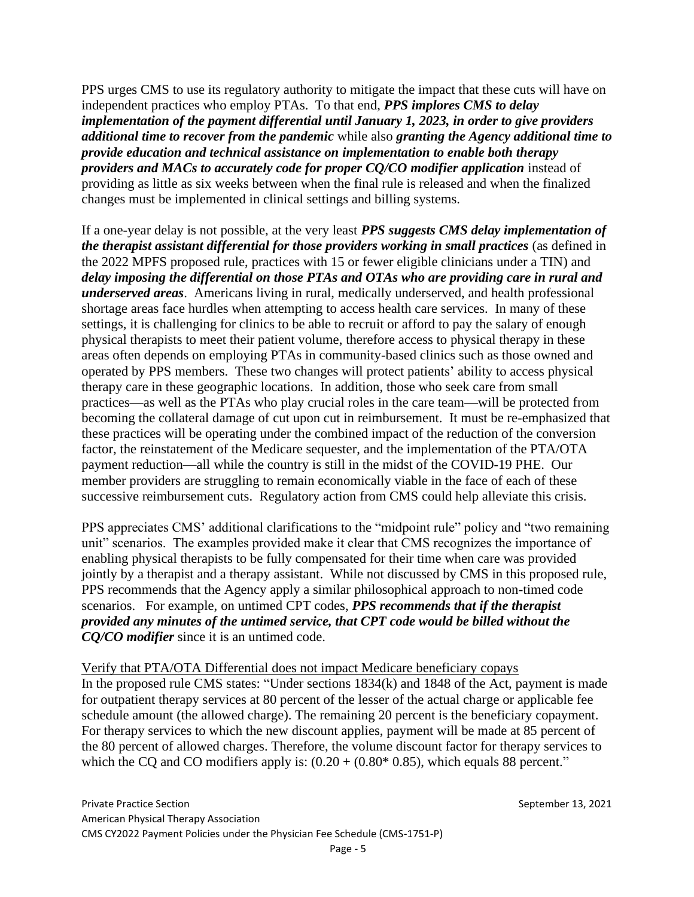PPS urges CMS to use its regulatory authority to mitigate the impact that these cuts will have on independent practices who employ PTAs. To that end, *PPS implores CMS to delay implementation of the payment differential until January 1, 2023, in order to give providers additional time to recover from the pandemic* while also *granting the Agency additional time to provide education and technical assistance on implementation to enable both therapy providers and MACs to accurately code for proper CQ/CO modifier application* instead of providing as little as six weeks between when the final rule is released and when the finalized changes must be implemented in clinical settings and billing systems.

If a one-year delay is not possible, at the very least *PPS suggests CMS delay implementation of the therapist assistant differential for those providers working in small practices* (as defined in the 2022 MPFS proposed rule, practices with 15 or fewer eligible clinicians under a TIN) and *delay imposing the differential on those PTAs and OTAs who are providing care in rural and underserved areas*. Americans living in rural, medically underserved, and health professional shortage areas face hurdles when attempting to access health care services. In many of these settings, it is challenging for clinics to be able to recruit or afford to pay the salary of enough physical therapists to meet their patient volume, therefore access to physical therapy in these areas often depends on employing PTAs in community-based clinics such as those owned and operated by PPS members. These two changes will protect patients' ability to access physical therapy care in these geographic locations. In addition, those who seek care from small practices—as well as the PTAs who play crucial roles in the care team—will be protected from becoming the collateral damage of cut upon cut in reimbursement. It must be re-emphasized that these practices will be operating under the combined impact of the reduction of the conversion factor, the reinstatement of the Medicare sequester, and the implementation of the PTA/OTA payment reduction—all while the country is still in the midst of the COVID-19 PHE. Our member providers are struggling to remain economically viable in the face of each of these successive reimbursement cuts. Regulatory action from CMS could help alleviate this crisis.

PPS appreciates CMS' additional clarifications to the "midpoint rule" policy and "two remaining unit" scenarios. The examples provided make it clear that CMS recognizes the importance of enabling physical therapists to be fully compensated for their time when care was provided jointly by a therapist and a therapy assistant. While not discussed by CMS in this proposed rule, PPS recommends that the Agency apply a similar philosophical approach to non-timed code scenarios. For example, on untimed CPT codes, *PPS recommends that if the therapist provided any minutes of the untimed service, that CPT code would be billed without the CQ/CO modifier* since it is an untimed code.

Verify that PTA/OTA Differential does not impact Medicare beneficiary copays In the proposed rule CMS states: "Under sections 1834(k) and 1848 of the Act, payment is made for outpatient therapy services at 80 percent of the lesser of the actual charge or applicable fee schedule amount (the allowed charge). The remaining 20 percent is the beneficiary copayment. For therapy services to which the new discount applies, payment will be made at 85 percent of the 80 percent of allowed charges. Therefore, the volume discount factor for therapy services to which the CQ and CO modifiers apply is:  $(0.20 + (0.80^* 0.85))$ , which equals 88 percent."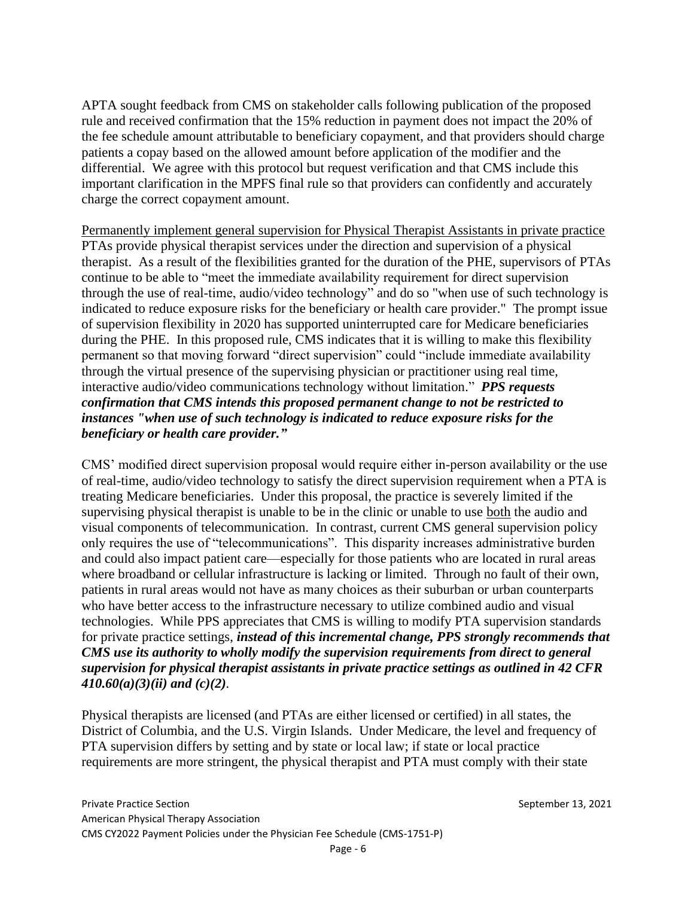APTA sought feedback from CMS on stakeholder calls following publication of the proposed rule and received confirmation that the 15% reduction in payment does not impact the 20% of the fee schedule amount attributable to beneficiary copayment, and that providers should charge patients a copay based on the allowed amount before application of the modifier and the differential. We agree with this protocol but request verification and that CMS include this important clarification in the MPFS final rule so that providers can confidently and accurately charge the correct copayment amount.

Permanently implement general supervision for Physical Therapist Assistants in private practice PTAs provide physical therapist services under the direction and supervision of a physical therapist. As a result of the flexibilities granted for the duration of the PHE, supervisors of PTAs continue to be able to "meet the immediate availability requirement for direct supervision through the use of real-time, audio/video technology" and do so "when use of such technology is indicated to reduce exposure risks for the beneficiary or health care provider." The prompt issue of supervision flexibility in 2020 has supported uninterrupted care for Medicare beneficiaries during the PHE. In this proposed rule, CMS indicates that it is willing to make this flexibility permanent so that moving forward "direct supervision" could "include immediate availability through the virtual presence of the supervising physician or practitioner using real time, interactive audio/video communications technology without limitation." *PPS requests confirmation that CMS intends this proposed permanent change to not be restricted to instances "when use of such technology is indicated to reduce exposure risks for the beneficiary or health care provider."* 

CMS' modified direct supervision proposal would require either in-person availability or the use of real-time, audio/video technology to satisfy the direct supervision requirement when a PTA is treating Medicare beneficiaries. Under this proposal, the practice is severely limited if the supervising physical therapist is unable to be in the clinic or unable to use both the audio and visual components of telecommunication. In contrast, current CMS general supervision policy only requires the use of "telecommunications". This disparity increases administrative burden and could also impact patient care—especially for those patients who are located in rural areas where broadband or cellular infrastructure is lacking or limited. Through no fault of their own, patients in rural areas would not have as many choices as their suburban or urban counterparts who have better access to the infrastructure necessary to utilize combined audio and visual technologies. While PPS appreciates that CMS is willing to modify PTA supervision standards for private practice settings, *instead of this incremental change, PPS strongly recommends that CMS use its authority to wholly modify the supervision requirements from direct to general supervision for physical therapist assistants in private practice settings as outlined in 42 CFR 410.60(a)(3)(ii) and (c)(2).*

Physical therapists are licensed (and PTAs are either licensed or certified) in all states, the District of Columbia, and the U.S. Virgin Islands. Under Medicare, the level and frequency of PTA supervision differs by setting and by state or local law; if state or local practice requirements are more stringent, the physical therapist and PTA must comply with their state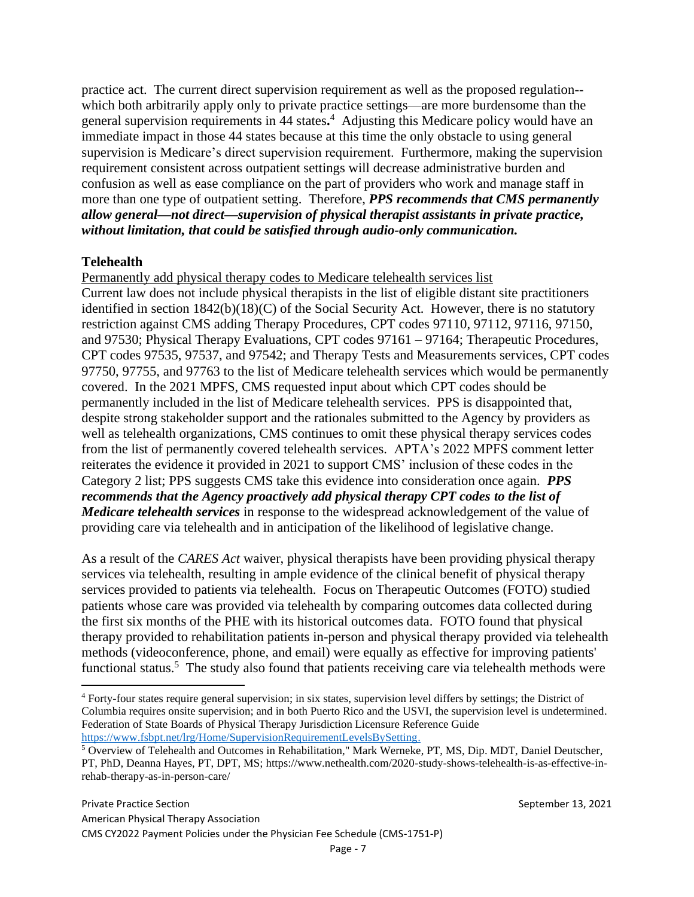practice act. The current direct supervision requirement as well as the proposed regulation- which both arbitrarily apply only to private practice settings—are more burdensome than the general supervision requirements in 44 states**.** <sup>4</sup> Adjusting this Medicare policy would have an immediate impact in those 44 states because at this time the only obstacle to using general supervision is Medicare's direct supervision requirement. Furthermore, making the supervision requirement consistent across outpatient settings will decrease administrative burden and confusion as well as ease compliance on the part of providers who work and manage staff in more than one type of outpatient setting. Therefore, *PPS recommends that CMS permanently allow general—not direct—supervision of physical therapist assistants in private practice, without limitation, that could be satisfied through audio-only communication.*

# **Telehealth**

Permanently add physical therapy codes to Medicare telehealth services list Current law does not include physical therapists in the list of eligible distant site practitioners identified in section 1842(b)(18)(C) of the Social Security Act. However, there is no statutory restriction against CMS adding Therapy Procedures, CPT codes 97110, 97112, 97116, 97150, and 97530; Physical Therapy Evaluations, CPT codes 97161 – 97164; Therapeutic Procedures, CPT codes 97535, 97537, and 97542; and Therapy Tests and Measurements services, CPT codes 97750, 97755, and 97763 to the list of Medicare telehealth services which would be permanently covered. In the 2021 MPFS, CMS requested input about which CPT codes should be permanently included in the list of Medicare telehealth services. PPS is disappointed that, despite strong stakeholder support and the rationales submitted to the Agency by providers as well as telehealth organizations, CMS continues to omit these physical therapy services codes from the list of permanently covered telehealth services. APTA's 2022 MPFS comment letter reiterates the evidence it provided in 2021 to support CMS' inclusion of these codes in the Category 2 list; PPS suggests CMS take this evidence into consideration once again. *PPS recommends that the Agency proactively add physical therapy CPT codes to the list of Medicare telehealth services* in response to the widespread acknowledgement of the value of providing care via telehealth and in anticipation of the likelihood of legislative change.

As a result of the *CARES Act* waiver, physical therapists have been providing physical therapy services via telehealth, resulting in ample evidence of the clinical benefit of physical therapy services provided to patients via telehealth. Focus on Therapeutic Outcomes (FOTO) studied patients whose care was provided via telehealth by comparing outcomes data collected during the first six months of the PHE with its historical outcomes data. FOTO found that physical therapy provided to rehabilitation patients in-person and physical therapy provided via telehealth methods (videoconference, phone, and email) were equally as effective for improving patients' functional status.<sup>5</sup> The study also found that patients receiving care via telehealth methods were

<sup>4</sup> Forty-four states require general supervision; in six states, supervision level differs by settings; the District of Columbia requires onsite supervision; and in both Puerto Rico and the USVI, the supervision level is undetermined. Federation of State Boards of Physical Therapy Jurisdiction Licensure Reference Guide [https://www.fsbpt.net/lrg/Home/SupervisionRequirementLevelsBySetting.](https://www.fsbpt.net/lrg/Home/SupervisionRequirementLevelsBySetting)

<sup>&</sup>lt;sup>5</sup> Overview of Telehealth and Outcomes in Rehabilitation," Mark Werneke, PT, MS, Dip. MDT, Daniel Deutscher, PT, PhD, Deanna Hayes, PT, DPT, MS; https://www.nethealth.com/2020-study-shows-telehealth-is-as-effective-inrehab-therapy-as-in-person-care/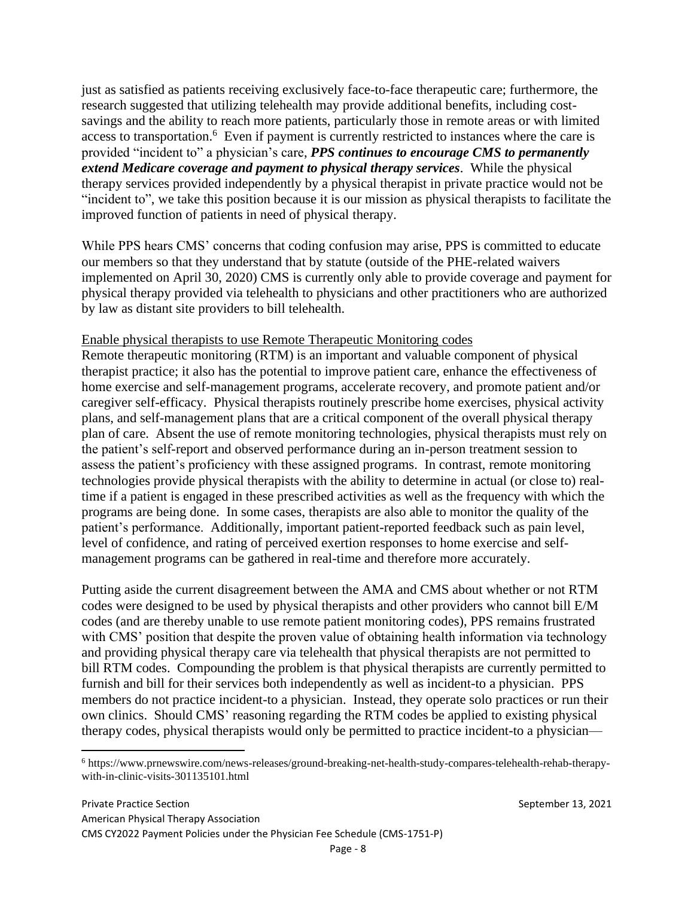just as satisfied as patients receiving exclusively face-to-face therapeutic care; furthermore, the research suggested that utilizing telehealth may provide additional benefits, including costsavings and the ability to reach more patients, particularly those in remote areas or with limited access to transportation.<sup>6</sup> Even if payment is currently restricted to instances where the care is provided "incident to" a physician's care, *PPS continues to encourage CMS to permanently extend Medicare coverage and payment to physical therapy services*. While the physical therapy services provided independently by a physical therapist in private practice would not be "incident to", we take this position because it is our mission as physical therapists to facilitate the improved function of patients in need of physical therapy.

While PPS hears CMS' concerns that coding confusion may arise, PPS is committed to educate our members so that they understand that by statute (outside of the PHE-related waivers implemented on April 30, 2020) CMS is currently only able to provide coverage and payment for physical therapy provided via telehealth to physicians and other practitioners who are authorized by law as distant site providers to bill telehealth.

### Enable physical therapists to use Remote Therapeutic Monitoring codes

Remote therapeutic monitoring (RTM) is an important and valuable component of physical therapist practice; it also has the potential to improve patient care, enhance the effectiveness of home exercise and self-management programs, accelerate recovery, and promote patient and/or caregiver self-efficacy. Physical therapists routinely prescribe home exercises, physical activity plans, and self-management plans that are a critical component of the overall physical therapy plan of care. Absent the use of remote monitoring technologies, physical therapists must rely on the patient's self-report and observed performance during an in-person treatment session to assess the patient's proficiency with these assigned programs. In contrast, remote monitoring technologies provide physical therapists with the ability to determine in actual (or close to) realtime if a patient is engaged in these prescribed activities as well as the frequency with which the programs are being done. In some cases, therapists are also able to monitor the quality of the patient's performance. Additionally, important patient-reported feedback such as pain level, level of confidence, and rating of perceived exertion responses to home exercise and selfmanagement programs can be gathered in real-time and therefore more accurately.

Putting aside the current disagreement between the AMA and CMS about whether or not RTM codes were designed to be used by physical therapists and other providers who cannot bill E/M codes (and are thereby unable to use remote patient monitoring codes), PPS remains frustrated with CMS' position that despite the proven value of obtaining health information via technology and providing physical therapy care via telehealth that physical therapists are not permitted to bill RTM codes. Compounding the problem is that physical therapists are currently permitted to furnish and bill for their services both independently as well as incident-to a physician. PPS members do not practice incident-to a physician. Instead, they operate solo practices or run their own clinics. Should CMS' reasoning regarding the RTM codes be applied to existing physical therapy codes, physical therapists would only be permitted to practice incident-to a physician—

<sup>6</sup> https://www.prnewswire.com/news-releases/ground-breaking-net-health-study-compares-telehealth-rehab-therapywith-in-clinic-visits-301135101.html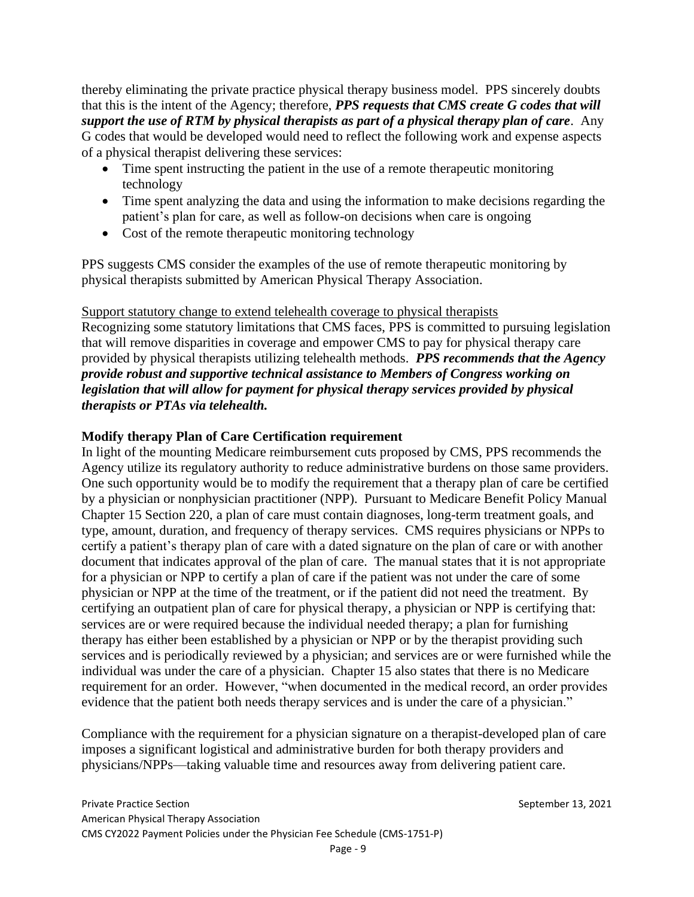thereby eliminating the private practice physical therapy business model. PPS sincerely doubts that this is the intent of the Agency; therefore, *PPS requests that CMS create G codes that will support the use of RTM by physical therapists as part of a physical therapy plan of care*. Any G codes that would be developed would need to reflect the following work and expense aspects of a physical therapist delivering these services:

- Time spent instructing the patient in the use of a remote therapeutic monitoring technology
- Time spent analyzing the data and using the information to make decisions regarding the patient's plan for care, as well as follow-on decisions when care is ongoing
- Cost of the remote therapeutic monitoring technology

PPS suggests CMS consider the examples of the use of remote therapeutic monitoring by physical therapists submitted by American Physical Therapy Association.

Support statutory change to extend telehealth coverage to physical therapists Recognizing some statutory limitations that CMS faces, PPS is committed to pursuing legislation that will remove disparities in coverage and empower CMS to pay for physical therapy care provided by physical therapists utilizing telehealth methods. *PPS recommends that the Agency provide robust and supportive technical assistance to Members of Congress working on legislation that will allow for payment for physical therapy services provided by physical therapists or PTAs via telehealth.*

# **Modify therapy Plan of Care Certification requirement**

In light of the mounting Medicare reimbursement cuts proposed by CMS, PPS recommends the Agency utilize its regulatory authority to reduce administrative burdens on those same providers. One such opportunity would be to modify the requirement that a therapy plan of care be certified by a physician or nonphysician practitioner (NPP). Pursuant to Medicare Benefit Policy Manual Chapter 15 Section 220, a plan of care must contain diagnoses, long-term treatment goals, and type, amount, duration, and frequency of therapy services. CMS requires physicians or NPPs to certify a patient's therapy plan of care with a dated signature on the plan of care or with another document that indicates approval of the plan of care. The manual states that it is not appropriate for a physician or NPP to certify a plan of care if the patient was not under the care of some physician or NPP at the time of the treatment, or if the patient did not need the treatment. By certifying an outpatient plan of care for physical therapy, a physician or NPP is certifying that: services are or were required because the individual needed therapy; a plan for furnishing therapy has either been established by a physician or NPP or by the therapist providing such services and is periodically reviewed by a physician; and services are or were furnished while the individual was under the care of a physician. Chapter 15 also states that there is no Medicare requirement for an order. However, "when documented in the medical record, an order provides evidence that the patient both needs therapy services and is under the care of a physician."

Compliance with the requirement for a physician signature on a therapist-developed plan of care imposes a significant logistical and administrative burden for both therapy providers and physicians/NPPs—taking valuable time and resources away from delivering patient care.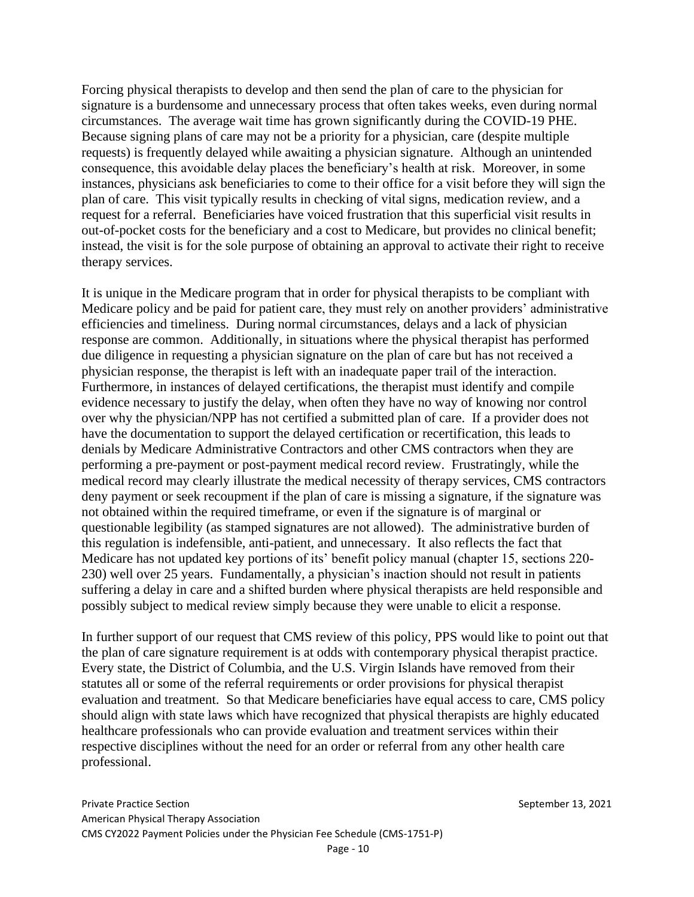Forcing physical therapists to develop and then send the plan of care to the physician for signature is a burdensome and unnecessary process that often takes weeks, even during normal circumstances. The average wait time has grown significantly during the COVID-19 PHE. Because signing plans of care may not be a priority for a physician, care (despite multiple requests) is frequently delayed while awaiting a physician signature. Although an unintended consequence, this avoidable delay places the beneficiary's health at risk. Moreover, in some instances, physicians ask beneficiaries to come to their office for a visit before they will sign the plan of care. This visit typically results in checking of vital signs, medication review, and a request for a referral. Beneficiaries have voiced frustration that this superficial visit results in out-of-pocket costs for the beneficiary and a cost to Medicare, but provides no clinical benefit; instead, the visit is for the sole purpose of obtaining an approval to activate their right to receive therapy services.

It is unique in the Medicare program that in order for physical therapists to be compliant with Medicare policy and be paid for patient care, they must rely on another providers' administrative efficiencies and timeliness. During normal circumstances, delays and a lack of physician response are common. Additionally, in situations where the physical therapist has performed due diligence in requesting a physician signature on the plan of care but has not received a physician response, the therapist is left with an inadequate paper trail of the interaction. Furthermore, in instances of delayed certifications, the therapist must identify and compile evidence necessary to justify the delay, when often they have no way of knowing nor control over why the physician/NPP has not certified a submitted plan of care. If a provider does not have the documentation to support the delayed certification or recertification, this leads to denials by Medicare Administrative Contractors and other CMS contractors when they are performing a pre-payment or post-payment medical record review. Frustratingly, while the medical record may clearly illustrate the medical necessity of therapy services, CMS contractors deny payment or seek recoupment if the plan of care is missing a signature, if the signature was not obtained within the required timeframe, or even if the signature is of marginal or questionable legibility (as stamped signatures are not allowed). The administrative burden of this regulation is indefensible, anti-patient, and unnecessary. It also reflects the fact that Medicare has not updated key portions of its' benefit policy manual (chapter 15, sections 220- 230) well over 25 years. Fundamentally, a physician's inaction should not result in patients suffering a delay in care and a shifted burden where physical therapists are held responsible and possibly subject to medical review simply because they were unable to elicit a response.

In further support of our request that CMS review of this policy, PPS would like to point out that the plan of care signature requirement is at odds with contemporary physical therapist practice. Every state, the District of Columbia, and the U.S. Virgin Islands have removed from their statutes all or some of the referral requirements or order provisions for physical therapist evaluation and treatment. So that Medicare beneficiaries have equal access to care, CMS policy should align with state laws which have recognized that physical therapists are highly educated healthcare professionals who can provide evaluation and treatment services within their respective disciplines without the need for an order or referral from any other health care professional.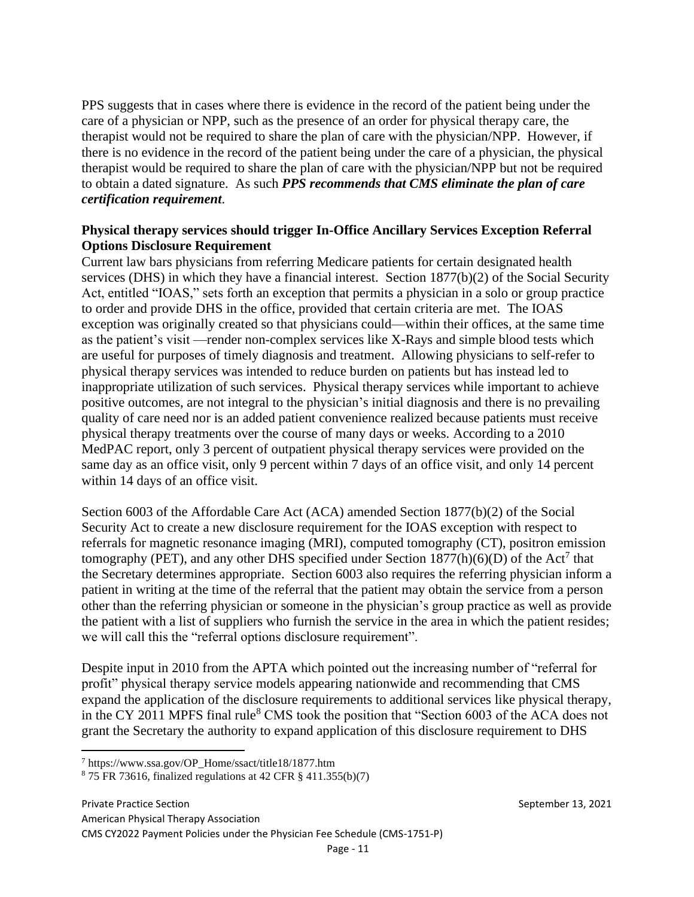PPS suggests that in cases where there is evidence in the record of the patient being under the care of a physician or NPP, such as the presence of an order for physical therapy care, the therapist would not be required to share the plan of care with the physician/NPP. However, if there is no evidence in the record of the patient being under the care of a physician, the physical therapist would be required to share the plan of care with the physician/NPP but not be required to obtain a dated signature. As such *PPS recommends that CMS eliminate the plan of care certification requirement*.

### **Physical therapy services should trigger In-Office Ancillary Services Exception Referral Options Disclosure Requirement**

Current law bars physicians from referring Medicare patients for certain designated health services (DHS) in which they have a financial interest. Section 1877(b)(2) of the Social Security Act, entitled "IOAS," sets forth an exception that permits a physician in a solo or group practice to order and provide DHS in the office, provided that certain criteria are met. The IOAS exception was originally created so that physicians could—within their offices, at the same time as the patient's visit —render non-complex services like X-Rays and simple blood tests which are useful for purposes of timely diagnosis and treatment. Allowing physicians to self-refer to physical therapy services was intended to reduce burden on patients but has instead led to inappropriate utilization of such services. Physical therapy services while important to achieve positive outcomes, are not integral to the physician's initial diagnosis and there is no prevailing quality of care need nor is an added patient convenience realized because patients must receive physical therapy treatments over the course of many days or weeks. According to a 2010 MedPAC report, only 3 percent of outpatient physical therapy services were provided on the same day as an office visit, only 9 percent within 7 days of an office visit, and only 14 percent within 14 days of an office visit.

Section 6003 of the Affordable Care Act (ACA) amended Section 1877(b)(2) of the Social Security Act to create a new disclosure requirement for the IOAS exception with respect to referrals for magnetic resonance imaging (MRI), computed tomography (CT), positron emission tomography (PET), and any other DHS specified under Section  $1877(h)(6)(D)$  of the Act<sup>7</sup> that the Secretary determines appropriate. Section 6003 also requires the referring physician inform a patient in writing at the time of the referral that the patient may obtain the service from a person other than the referring physician or someone in the physician's group practice as well as provide the patient with a list of suppliers who furnish the service in the area in which the patient resides; we will call this the "referral options disclosure requirement".

Despite input in 2010 from the APTA which pointed out the increasing number of "referral for profit" physical therapy service models appearing nationwide and recommending that CMS expand the application of the disclosure requirements to additional services like physical therapy, in the CY 2011 MPFS final rule<sup>8</sup> CMS took the position that "Section 6003 of the ACA does not grant the Secretary the authority to expand application of this disclosure requirement to DHS

Private Practice Section **September 13, 2021** American Physical Therapy Association CMS CY2022 Payment Policies under the Physician Fee Schedule (CMS-1751-P)

<sup>7</sup> https://www.ssa.gov/OP\_Home/ssact/title18/1877.htm

 $875$  FR 73616, finalized regulations at 42 CFR  $\S$  411.355(b)(7)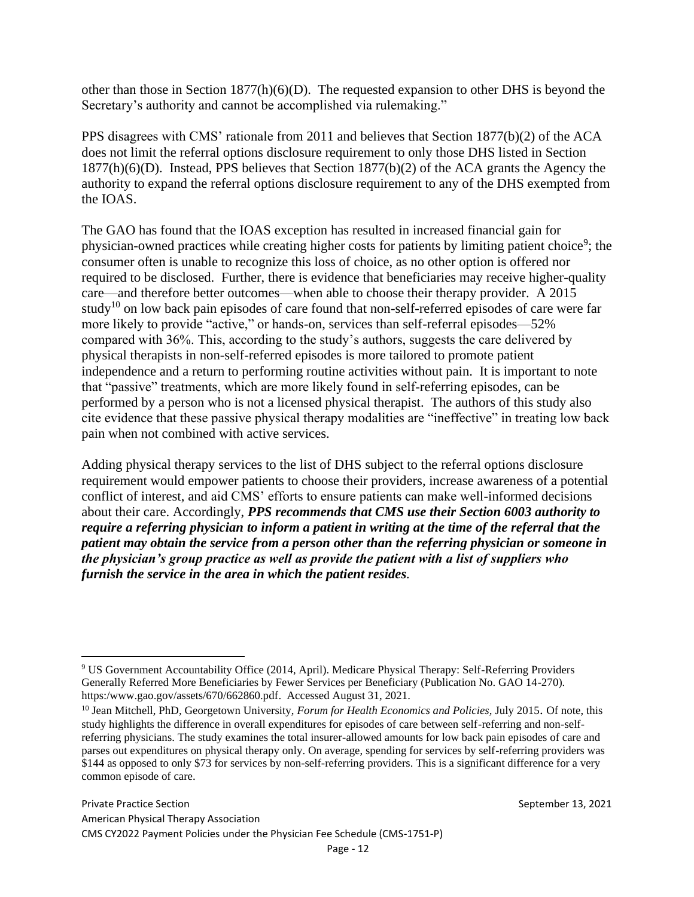other than those in Section 1877(h)(6)(D). The requested expansion to other DHS is beyond the Secretary's authority and cannot be accomplished via rulemaking."

PPS disagrees with CMS' rationale from 2011 and believes that Section 1877(b)(2) of the ACA does not limit the referral options disclosure requirement to only those DHS listed in Section 1877(h)(6)(D). Instead, PPS believes that Section 1877(b)(2) of the ACA grants the Agency the authority to expand the referral options disclosure requirement to any of the DHS exempted from the IOAS.

The GAO has found that the IOAS exception has resulted in increased financial gain for physician-owned practices while creating higher costs for patients by limiting patient choice<sup>9</sup>; the consumer often is unable to recognize this loss of choice, as no other option is offered nor required to be disclosed. Further, there is evidence that beneficiaries may receive higher-quality care—and therefore better outcomes—when able to choose their therapy provider. A 2015 study<sup>10</sup> on low back pain episodes of care found that non-self-referred episodes of care were far more likely to provide "active," or hands-on, services than self-referral episodes—52% compared with 36%. This, according to the study's authors, suggests the care delivered by physical therapists in non-self-referred episodes is more tailored to promote patient independence and a return to performing routine activities without pain. It is important to note that "passive" treatments, which are more likely found in self-referring episodes, can be performed by a person who is not a licensed physical therapist. The authors of this study also cite evidence that these passive physical therapy modalities are "ineffective" in treating low back pain when not combined with active services.

Adding physical therapy services to the list of DHS subject to the referral options disclosure requirement would empower patients to choose their providers, increase awareness of a potential conflict of interest, and aid CMS' efforts to ensure patients can make well-informed decisions about their care. Accordingly, *PPS recommends that CMS use their Section 6003 authority to require a referring physician to inform a patient in writing at the time of the referral that the patient may obtain the service from a person other than the referring physician or someone in the physician's group practice as well as provide the patient with a list of suppliers who furnish the service in the area in which the patient resides.* 

<sup>9</sup> US Government Accountability Office (2014, April). Medicare Physical Therapy: Self-Referring Providers Generally Referred More Beneficiaries by Fewer Services per Beneficiary (Publication No. GAO 14-270). https:/www.gao.gov/assets/670/662860.pdf. Accessed August 31, 2021.

<sup>10</sup> Jean Mitchell, PhD, Georgetown University, *Forum for Health Economics and Policies,* July 2015. Of note, this study highlights the difference in overall expenditures for episodes of care between self-referring and non-selfreferring physicians. The study examines the total insurer-allowed amounts for low back pain episodes of care and parses out expenditures on physical therapy only. On average, spending for services by self-referring providers was \$144 as opposed to only \$73 for services by non-self-referring providers. This is a significant difference for a very common episode of care.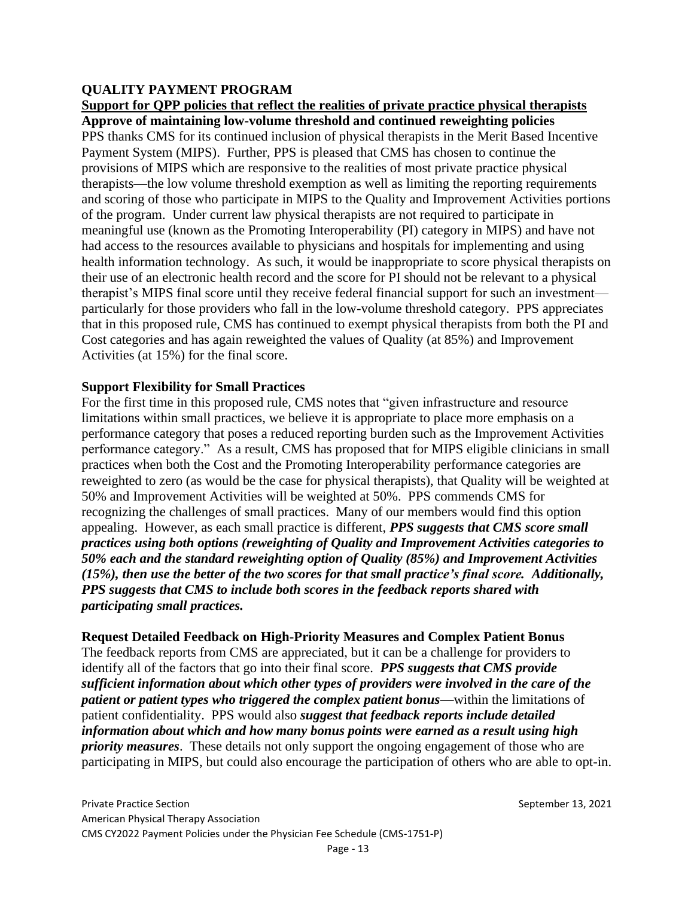# **QUALITY PAYMENT PROGRAM**

# **Support for QPP policies that reflect the realities of private practice physical therapists**

**Approve of maintaining low-volume threshold and continued reweighting policies** PPS thanks CMS for its continued inclusion of physical therapists in the Merit Based Incentive Payment System (MIPS). Further, PPS is pleased that CMS has chosen to continue the provisions of MIPS which are responsive to the realities of most private practice physical therapists—the low volume threshold exemption as well as limiting the reporting requirements and scoring of those who participate in MIPS to the Quality and Improvement Activities portions of the program. Under current law physical therapists are not required to participate in meaningful use (known as the Promoting Interoperability (PI) category in MIPS) and have not had access to the resources available to physicians and hospitals for implementing and using health information technology. As such, it would be inappropriate to score physical therapists on their use of an electronic health record and the score for PI should not be relevant to a physical therapist's MIPS final score until they receive federal financial support for such an investment particularly for those providers who fall in the low-volume threshold category. PPS appreciates that in this proposed rule, CMS has continued to exempt physical therapists from both the PI and Cost categories and has again reweighted the values of Quality (at 85%) and Improvement Activities (at 15%) for the final score.

# **Support Flexibility for Small Practices**

For the first time in this proposed rule, CMS notes that "given infrastructure and resource limitations within small practices, we believe it is appropriate to place more emphasis on a performance category that poses a reduced reporting burden such as the Improvement Activities performance category." As a result, CMS has proposed that for MIPS eligible clinicians in small practices when both the Cost and the Promoting Interoperability performance categories are reweighted to zero (as would be the case for physical therapists), that Quality will be weighted at 50% and Improvement Activities will be weighted at 50%. PPS commends CMS for recognizing the challenges of small practices. Many of our members would find this option appealing. However, as each small practice is different, *PPS suggests that CMS score small practices using both options (reweighting of Quality and Improvement Activities categories to 50% each and the standard reweighting option of Quality (85%) and Improvement Activities (15%), then use the better of the two scores for that small practice's final score. Additionally, PPS suggests that CMS to include both scores in the feedback reports shared with participating small practices.*

# **Request Detailed Feedback on High-Priority Measures and Complex Patient Bonus**

The feedback reports from CMS are appreciated, but it can be a challenge for providers to identify all of the factors that go into their final score. *PPS suggests that CMS provide sufficient information about which other types of providers were involved in the care of the patient or patient types who triggered the complex patient bonus*—within the limitations of patient confidentiality. PPS would also *suggest that feedback reports include detailed information about which and how many bonus points were earned as a result using high priority measures*. These details not only support the ongoing engagement of those who are participating in MIPS, but could also encourage the participation of others who are able to opt-in.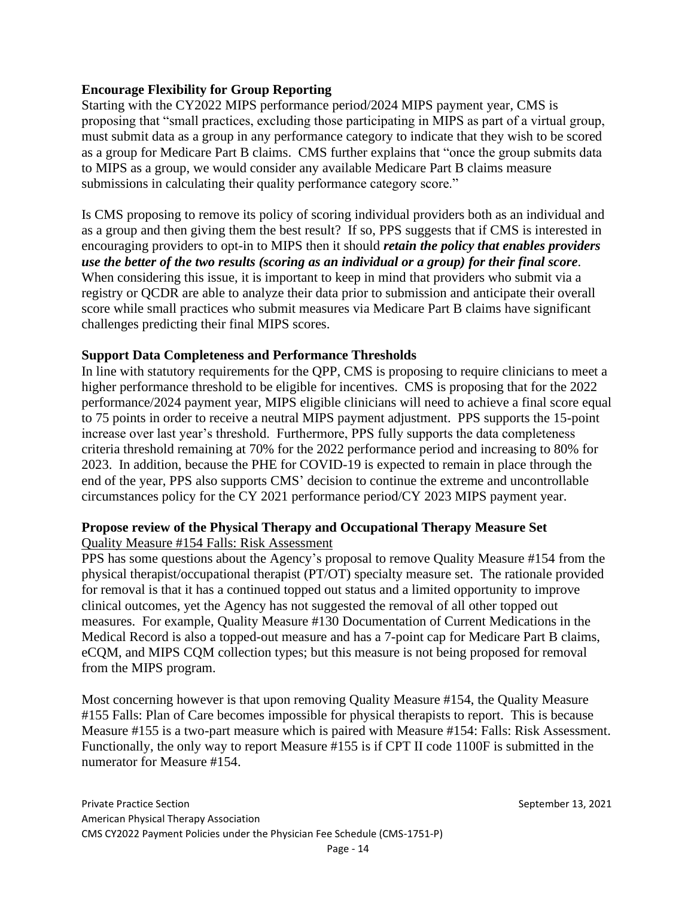### **Encourage Flexibility for Group Reporting**

Starting with the CY2022 MIPS performance period/2024 MIPS payment year, CMS is proposing that "small practices, excluding those participating in MIPS as part of a virtual group, must submit data as a group in any performance category to indicate that they wish to be scored as a group for Medicare Part B claims. CMS further explains that "once the group submits data to MIPS as a group, we would consider any available Medicare Part B claims measure submissions in calculating their quality performance category score."

Is CMS proposing to remove its policy of scoring individual providers both as an individual and as a group and then giving them the best result? If so, PPS suggests that if CMS is interested in encouraging providers to opt-in to MIPS then it should *retain the policy that enables providers use the better of the two results (scoring as an individual or a group) for their final score*. When considering this issue, it is important to keep in mind that providers who submit via a registry or QCDR are able to analyze their data prior to submission and anticipate their overall score while small practices who submit measures via Medicare Part B claims have significant challenges predicting their final MIPS scores.

### **Support Data Completeness and Performance Thresholds**

In line with statutory requirements for the QPP, CMS is proposing to require clinicians to meet a higher performance threshold to be eligible for incentives. CMS is proposing that for the 2022 performance/2024 payment year, MIPS eligible clinicians will need to achieve a final score equal to 75 points in order to receive a neutral MIPS payment adjustment. PPS supports the 15-point increase over last year's threshold. Furthermore, PPS fully supports the data completeness criteria threshold remaining at 70% for the 2022 performance period and increasing to 80% for 2023. In addition, because the PHE for COVID-19 is expected to remain in place through the end of the year, PPS also supports CMS' decision to continue the extreme and uncontrollable circumstances policy for the CY 2021 performance period/CY 2023 MIPS payment year.

### **Propose review of the Physical Therapy and Occupational Therapy Measure Set** Quality Measure #154 Falls: Risk Assessment

PPS has some questions about the Agency's proposal to remove Quality Measure #154 from the physical therapist/occupational therapist (PT/OT) specialty measure set. The rationale provided for removal is that it has a continued topped out status and a limited opportunity to improve clinical outcomes, yet the Agency has not suggested the removal of all other topped out measures. For example, Quality Measure #130 Documentation of Current Medications in the Medical Record is also a topped-out measure and has a 7-point cap for Medicare Part B claims, eCQM, and MIPS CQM collection types; but this measure is not being proposed for removal from the MIPS program.

Most concerning however is that upon removing Quality Measure #154, the Quality Measure #155 Falls: Plan of Care becomes impossible for physical therapists to report. This is because Measure #155 is a two-part measure which is paired with Measure #154: Falls: Risk Assessment. Functionally, the only way to report Measure #155 is if CPT II code 1100F is submitted in the numerator for Measure #154.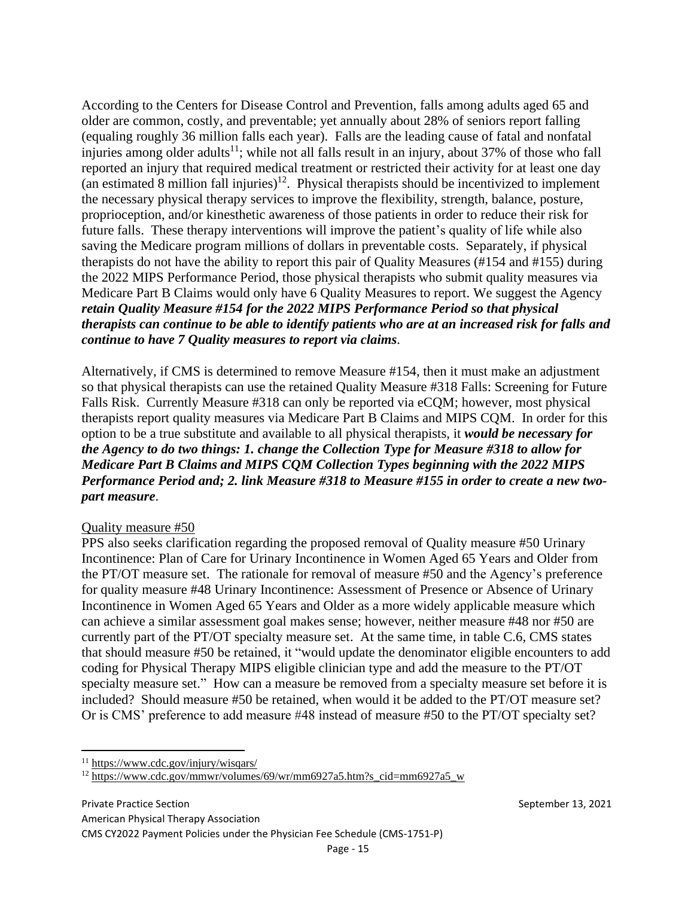According to the Centers for Disease Control and Prevention, falls among adults aged 65 and older are common, costly, and preventable; yet annually about 28% of seniors report falling (equaling roughly 36 million falls each year). Falls are the leading cause of fatal and nonfatal injuries among older adults<sup>11</sup>; while not all falls result in an injury, about 37% of those who fall reported an injury that required medical treatment or restricted their activity for at least one day (an estimated 8 million fall injuries)<sup>12</sup>. Physical therapists should be incentivized to implement the necessary physical therapy services to improve the flexibility, strength, balance, posture, proprioception, and/or kinesthetic awareness of those patients in order to reduce their risk for future falls. These therapy interventions will improve the patient's quality of life while also saving the Medicare program millions of dollars in preventable costs. Separately, if physical therapists do not have the ability to report this pair of Quality Measures (#154 and #155) during the 2022 MIPS Performance Period, those physical therapists who submit quality measures via Medicare Part B Claims would only have 6 Quality Measures to report. We suggest the Agency *retain Quality Measure #154 for the 2022 MIPS Performance Period so that physical therapists can continue to be able to identify patients who are at an increased risk for falls and continue to have 7 Quality measures to report via claims.*

Alternatively, if CMS is determined to remove Measure #154, then it must make an adjustment so that physical therapists can use the retained Quality Measure #318 Falls: Screening for Future Falls Risk. Currently Measure #318 can only be reported via eCQM; however, most physical therapists report quality measures via Medicare Part B Claims and MIPS CQM. In order for this option to be a true substitute and available to all physical therapists, it *would be necessary for the Agency to do two things: 1. change the Collection Type for Measure #318 to allow for Medicare Part B Claims and MIPS CQM Collection Types beginning with the 2022 MIPS Performance Period and; 2. link Measure #318 to Measure #155 in order to create a new twopart measure*.

### Quality measure #50

PPS also seeks clarification regarding the proposed removal of Quality measure #50 Urinary Incontinence: Plan of Care for Urinary Incontinence in Women Aged 65 Years and Older from the PT/OT measure set. The rationale for removal of measure #50 and the Agency's preference for quality measure #48 Urinary Incontinence: Assessment of Presence or Absence of Urinary Incontinence in Women Aged 65 Years and Older as a more widely applicable measure which can achieve a similar assessment goal makes sense; however, neither measure #48 nor #50 are currently part of the PT/OT specialty measure set. At the same time, in table C.6, CMS states that should measure #50 be retained, it "would update the denominator eligible encounters to add coding for Physical Therapy MIPS eligible clinician type and add the measure to the PT/OT specialty measure set." How can a measure be removed from a specialty measure set before it is included? Should measure #50 be retained, when would it be added to the PT/OT measure set? Or is CMS' preference to add measure #48 instead of measure #50 to the PT/OT specialty set?

<sup>11</sup> <https://www.cdc.gov/injury/wisqars/>

<sup>&</sup>lt;sup>12</sup> [https://www.cdc.gov/mmwr/volumes/69/wr/mm6927a5.htm?s\\_cid=mm6927a5\\_w](https://www.cdc.gov/mmwr/volumes/69/wr/mm6927a5.htm?s_cid=mm6927a5_w)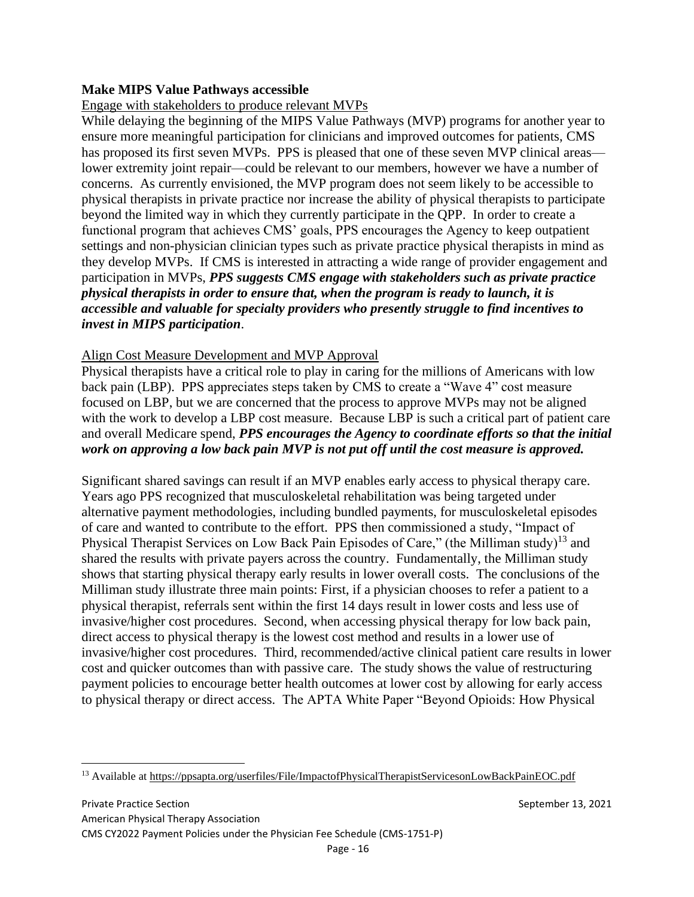# **Make MIPS Value Pathways accessible**

# Engage with stakeholders to produce relevant MVPs

While delaying the beginning of the MIPS Value Pathways (MVP) programs for another year to ensure more meaningful participation for clinicians and improved outcomes for patients, CMS has proposed its first seven MVPs. PPS is pleased that one of these seven MVP clinical areas lower extremity joint repair—could be relevant to our members, however we have a number of concerns. As currently envisioned, the MVP program does not seem likely to be accessible to physical therapists in private practice nor increase the ability of physical therapists to participate beyond the limited way in which they currently participate in the QPP. In order to create a functional program that achieves CMS' goals, PPS encourages the Agency to keep outpatient settings and non-physician clinician types such as private practice physical therapists in mind as they develop MVPs. If CMS is interested in attracting a wide range of provider engagement and participation in MVPs, *PPS suggests CMS engage with stakeholders such as private practice physical therapists in order to ensure that, when the program is ready to launch, it is accessible and valuable for specialty providers who presently struggle to find incentives to invest in MIPS participation*.

# Align Cost Measure Development and MVP Approval

Physical therapists have a critical role to play in caring for the millions of Americans with low back pain (LBP). PPS appreciates steps taken by CMS to create a "Wave 4" cost measure focused on LBP, but we are concerned that the process to approve MVPs may not be aligned with the work to develop a LBP cost measure. Because LBP is such a critical part of patient care and overall Medicare spend, *PPS encourages the Agency to coordinate efforts so that the initial work on approving a low back pain MVP is not put off until the cost measure is approved.*

Significant shared savings can result if an MVP enables early access to physical therapy care. Years ago PPS recognized that musculoskeletal rehabilitation was being targeted under alternative payment methodologies, including bundled payments, for musculoskeletal episodes of care and wanted to contribute to the effort. PPS then commissioned a study, "Impact of Physical Therapist Services on Low Back Pain Episodes of Care," (the Milliman study)<sup>13</sup> and shared the results with private payers across the country. Fundamentally, the Milliman study shows that starting physical therapy early results in lower overall costs. The conclusions of the Milliman study illustrate three main points: First, if a physician chooses to refer a patient to a physical therapist, referrals sent within the first 14 days result in lower costs and less use of invasive/higher cost procedures. Second, when accessing physical therapy for low back pain, direct access to physical therapy is the lowest cost method and results in a lower use of invasive/higher cost procedures. Third, recommended/active clinical patient care results in lower cost and quicker outcomes than with passive care. The study shows the value of restructuring payment policies to encourage better health outcomes at lower cost by allowing for early access to physical therapy or direct access. The APTA White Paper "Beyond Opioids: How Physical

<sup>13</sup> Available at<https://ppsapta.org/userfiles/File/ImpactofPhysicalTherapistServicesonLowBackPainEOC.pdf>